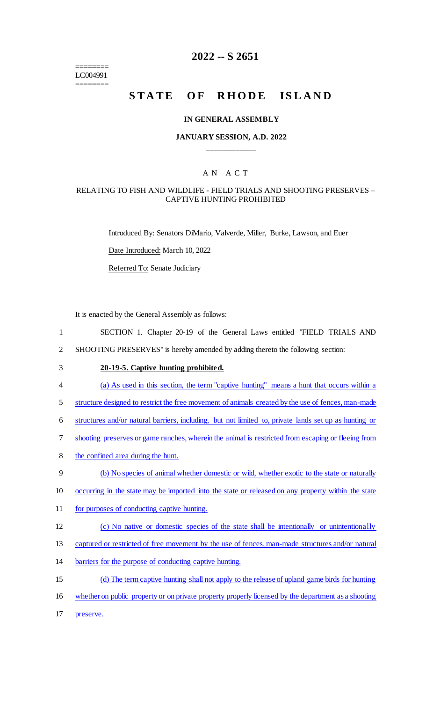======== LC004991 ========

# **2022 -- S 2651**

# STATE OF RHODE ISLAND

#### **IN GENERAL ASSEMBLY**

## **JANUARY SESSION, A.D. 2022 \_\_\_\_\_\_\_\_\_\_\_\_**

## A N A C T

#### RELATING TO FISH AND WILDLIFE - FIELD TRIALS AND SHOOTING PRESERVES – CAPTIVE HUNTING PROHIBITED

Introduced By: Senators DiMario, Valverde, Miller, Burke, Lawson, and Euer

Date Introduced: March 10, 2022

Referred To: Senate Judiciary

It is enacted by the General Assembly as follows:

1 SECTION 1. Chapter 20-19 of the General Laws entitled "FIELD TRIALS AND

2 SHOOTING PRESERVES" is hereby amended by adding thereto the following section:

3 **20-19-5. Captive hunting prohibited.**

- 4 (a) As used in this section, the term "captive hunting" means a hunt that occurs within a
- 5 structure designed to restrict the free movement of animals created by the use of fences, man-made
- 6 structures and/or natural barriers, including, but not limited to, private lands set up as hunting or
- 7 shooting preserves or game ranches, wherein the animal is restricted from escaping or fleeing from
- 8 the confined area during the hunt.
- 9 (b) No species of animal whether domestic or wild, whether exotic to the state or naturally
- 10 occurring in the state may be imported into the state or released on any property within the state
- 11 for purposes of conducting captive hunting.
- 12 (c) No native or domestic species of the state shall be intentionally or unintentionally
- 13 captured or restricted of free movement by the use of fences, man-made structures and/or natural
- 14 barriers for the purpose of conducting captive hunting.
- 15 (d) The term captive hunting shall not apply to the release of upland game birds for hunting
- 16 whether on public property or on private property properly licensed by the department as a shooting
- 17 preserve.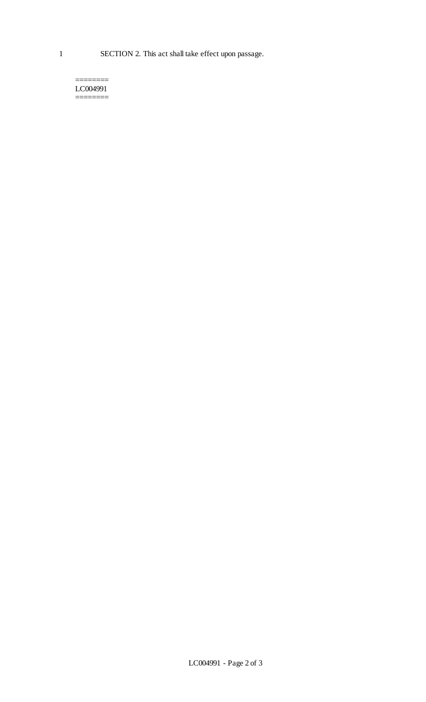======== LC004991 ========